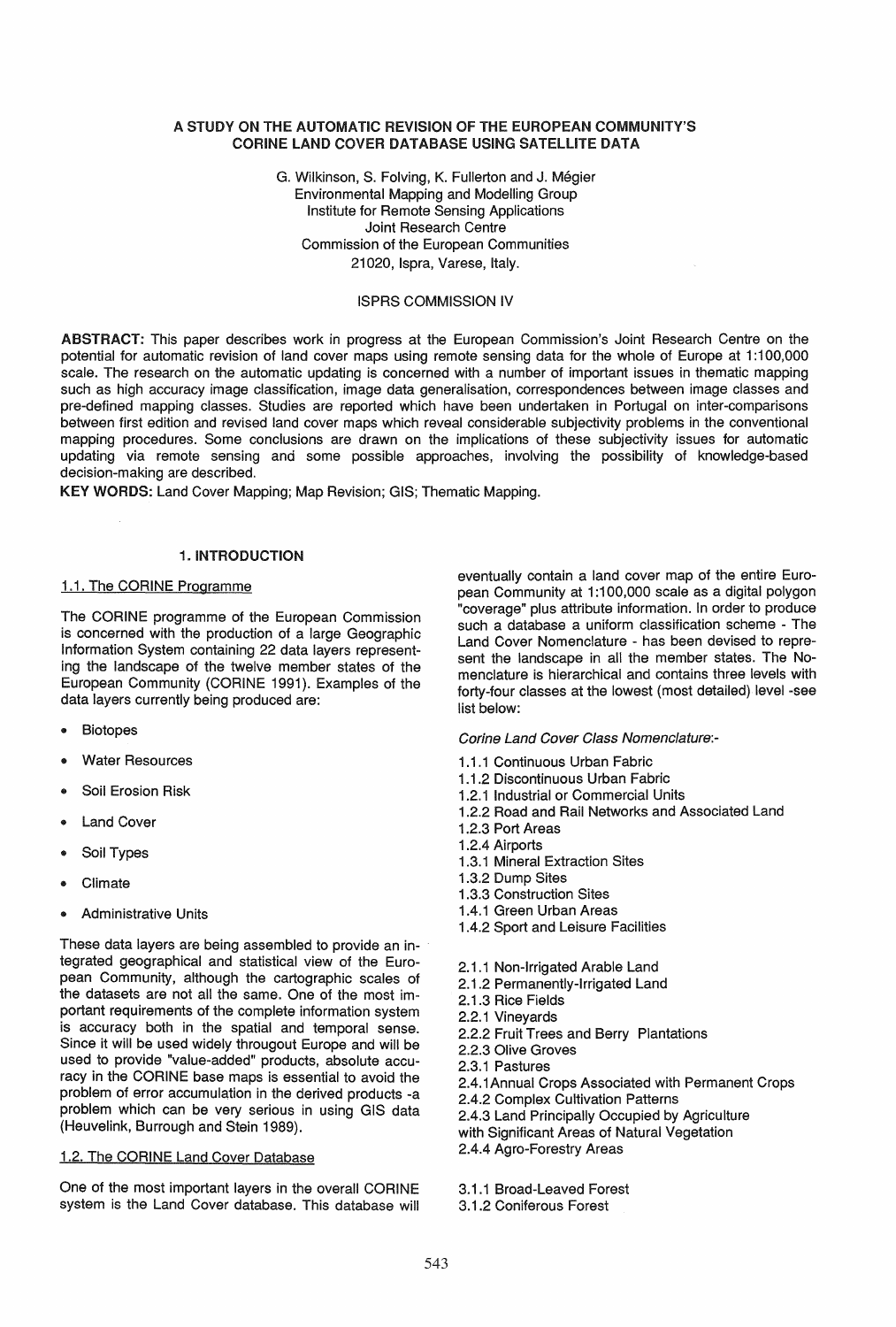#### A STUDY ON THE AUTOMATIC REVISION OF THE EUROPEAN COMMUNITY'S CORINE LAND COVER DATABASE USING SATELLITE DATA

G. Wilkinson, S. Folving, K. Fullerton and J. Megier Environmental Mapping and Modelling Group Institute for Remote Sensing Applications Joint Research Centre Commission of the European Communities 21020, Ispra, Varese, Italy.

#### ISPRS COMMISSION IV

ABSTRACT: This paper describes work in progress at the European Commission's Joint Research Centre on the potential for automatic revision of land cover maps using remote sensing data for the whole of Europe at 1:100,000 scale. The research on the automatic updating is concerned with a number of important issues in thematic mapping such as high accuracy image classification, image data generalisation, correspondences between image classes and pre-defined mapping classes. Studies are reported which have been undertaken in Portugal on inter-comparisons between first edition and revised land cover maps which reveal considerable subjectivity problems in the conventional mapping procedures. Some conclusions are drawn on the implications of these subjectivity issues for automatic updating via remote sensing and some possible approaches, involving the possibility of knowledge-based decision-making are described.

KEY WORDS: Land Cover Mapping; Map Revision; GIS; Thematic Mapping.

### 1. INTRODUCTION

#### 1.1. The CORINE Programme

The CORINE programme of the European Commission is concerned with the production of a large Geographic Information System containing 22 data layers representing the landscape of the twelve member states of the European Community (CORINE 1991). Examples of the data layers currently being produced are:

- **Biotopes**
- **Water Resources**
- Soil Erosion Risk
- **Land Cover**
- Soil Types
- Climate
- Administrative Units

These data layers are being assembled to provide an integrated geographical and statistical view of the European Community, although the cartographic scales of the datasets are not all the same. One of the most important requirements of the complete information system is accuracy both in the spatial and temporal sense. Since it will be used widely througout Europe and will be used to provide "value-added" products, absolute accuracy in the CORINE base maps is essential to avoid the problem of error accumulation in the derived products -a problem which can be very serious in using GIS data (Heuvelink, Burrough and Stein 1989).

### 1.2. The CORINE Land Cover Database

One of the most important layers in the overall CORINE system is the Land Cover database. This database will eventually contain a land cover map of the entire European Community at 1:100,000 scale as a digital polygon "coverage" plus attribute information. In order to produce such a database a uniform classification scheme - The Land Cover Nomenclature - has been devised to represent the landscape in all the member states. The Nomenclature is hierarchical and contains three levels with forty-four classes at the lowest (most detailed) level -see list below:

Carine Land Cover Class Nomenclature:-

- 1.1.1 Continuous Urban Fabric
- 1.1.2 Discontinuous Urban Fabric
- 1.2.1 Industrial or Commercial Units
- 1 .2.2 Road and Rail Networks and Associated Land
- 1 .2.3 Port Areas
- 1 .2.4 Airports
- 1.3.1 Mineral Extraction Sites
- 1.3.2 Dump Sites
- 1.3.3 Construction Sites
- 1.4.1 Green Urban Areas
- 1.4.2 Sport and Leisure Facilities
- 2.1.1 Non-Irrigated Arable Land
- 2.1 .2 Permanently-Irrigated Land
- 2.1.3 Rice Fields
- 2.2.1 Vineyards
- 2.2.2 Fruit Trees and Berry Plantations
- 2.2.3 Olive Groves
- 2.3.1 Pastures
- 2.4.1 Annual Crops Associated with Permanent Crops
- 2.4.2 Complex Cultivation Patterns
- 2.4.3 Land Principally Occupied by Agriculture
- with Significant Areas of Natural Vegetation
- 2.4.4 Agro-Forestry Areas

3.1.1 Broad-Leaved Forest

3.1.2 Coniferous Forest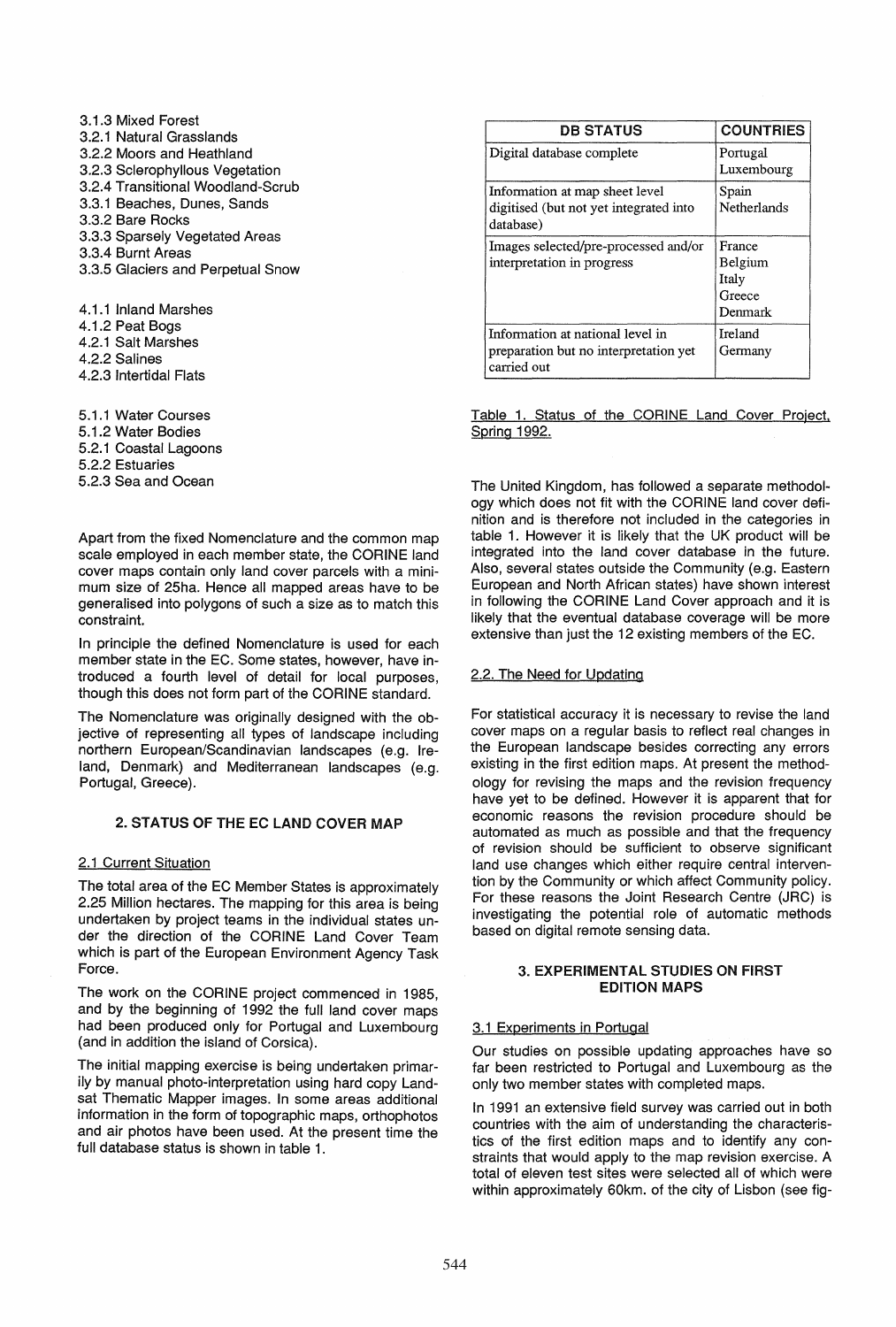3.1.3 Mixed Forest 3.2.1 Natural Grasslands 3.2.2 Moors and Heathland 3.2.3 Sclerophyllous Vegetation 3.2.4 Transitional Woodland-Scrub 3.3.1 Beaches, Dunes, Sands 3.3.2 Bare Rocks 3.3.3 Sparsely Vegetated Areas 3.3.4 Burnt Areas 3.3.5 Glaciers and Perpetual Snow

4.1.1 Inland Marshes 4.1 .2 Peat Bogs

- 4.2.1 Salt Marshes
- 4.2.2 Salines
- 4.2.3 Intertidal Flats

5.1.1 Water Courses 5.1 .2 Water Bodies

- 5.2.1 Coastal Lagoons
- 5.2.2 Estuaries

5.2.3 Sea and Ocean

Apart from the fixed Nomenclature and the common map scale employed in each member state, the CORINE land cover maps contain only land cover parcels with a minimum size of 25ha. Hence all mapped areas have to be generalised into polygons of such a size as to match this constraint.

In principle the defined Nomenclature is used for each member state in the EC. Some states, however, have introduced a fourth level of detail for local purposes, though this does not form part of the CORINE standard.

The Nomenclature was originally designed with the objective of representing all types of landscape including northern European/Scandinavian landscapes (e.g. Ireland, Denmark) and Mediterranean landscapes (e.g. Portugal, Greece).

## 2. STATUS OF THE EC LAND COVER MAP

# 2.1 Current Situation

The total area of the EC Member States is approximately 2.25 Million hectares. The mapping for this area is being undertaken by project teams in the individual states under the direction of the CORINE Land Cover Team which is part of the European Environment Agency Task Force.

The work on the CORINE project commenced in 1985, and by the beginning of 1992 the full land cover maps had been produced only for Portugal and Luxembourg (and in addition the island of Corsica).

The initial mapping exercise is being undertaken primarily by manual photo-interpretation using hard copy Landsat Thematic Mapper images. In some areas additional information in the form of topographic maps, orthophotos and air photos have been used. At the present time the full database status is shown in table 1.

| <b>DB STATUS</b>                                                                         | <b>COUNTRIES</b>                                |
|------------------------------------------------------------------------------------------|-------------------------------------------------|
| Digital database complete                                                                | Portugal<br>Luxembourg                          |
| Information at map sheet level<br>digitised (but not yet integrated into<br>database)    | Spain<br>Netherlands                            |
| Images selected/pre-processed and/or<br>interpretation in progress                       | France<br>Belgium<br>Italy<br>Greece<br>Denmark |
| Information at national level in<br>preparation but no interpretation yet<br>carried out | Ireland<br>Germany                              |

Table 1. Status of the CORINE Land Cover Project. Spring 1992.

The United Kingdom, has followed a separate methodology which does not fit with the CORINE land cover definition and is therefore not included in the categories in table 1. However it is likely that the UK product will be integrated into the land cover database in the future. Also, several states outside the Community (e.g. Eastern European and North African states) have shown interest in following the CORINE Land Cover approach and it is likely that the eventual database coverage will be more extensive than just the 12 existing members of the EC.

## 2.2. The Need for Updating

For statistical accuracy it is necessary to revise the land cover maps on a regular basis to reflect real changes in the European landscape besides correcting any errors existing in the first edition maps. At present the methodology for revising the maps and the revision frequency have yet to be defined. However it is apparent that for economic reasons the revision procedure should be automated as much as possible and that the frequency of revision should be sufficient to observe significant land use changes which either require central intervention by the Community or which affect Community policy. For these reasons the Joint Research Centre (JRC) is investigating the potential role of automatic methods based on digital remote sensing data.

### 3. EXPERIMENTAL STUDIES ON FIRST EDITION MAPS

## 3.1 Experiments in Portugal

Our studies on possible updating approaches have so far been restricted to Portugal and Luxembourg as the only two member states with completed maps.

In 1991 an extensive field survey was carried out in both countries with the aim of understanding the characteristics of the first edition maps and to identify any constraints that would apply to the map revision exercise. A total of eleven test sites were selected all of which were within approximately 60km. of the city of Lisbon (see fig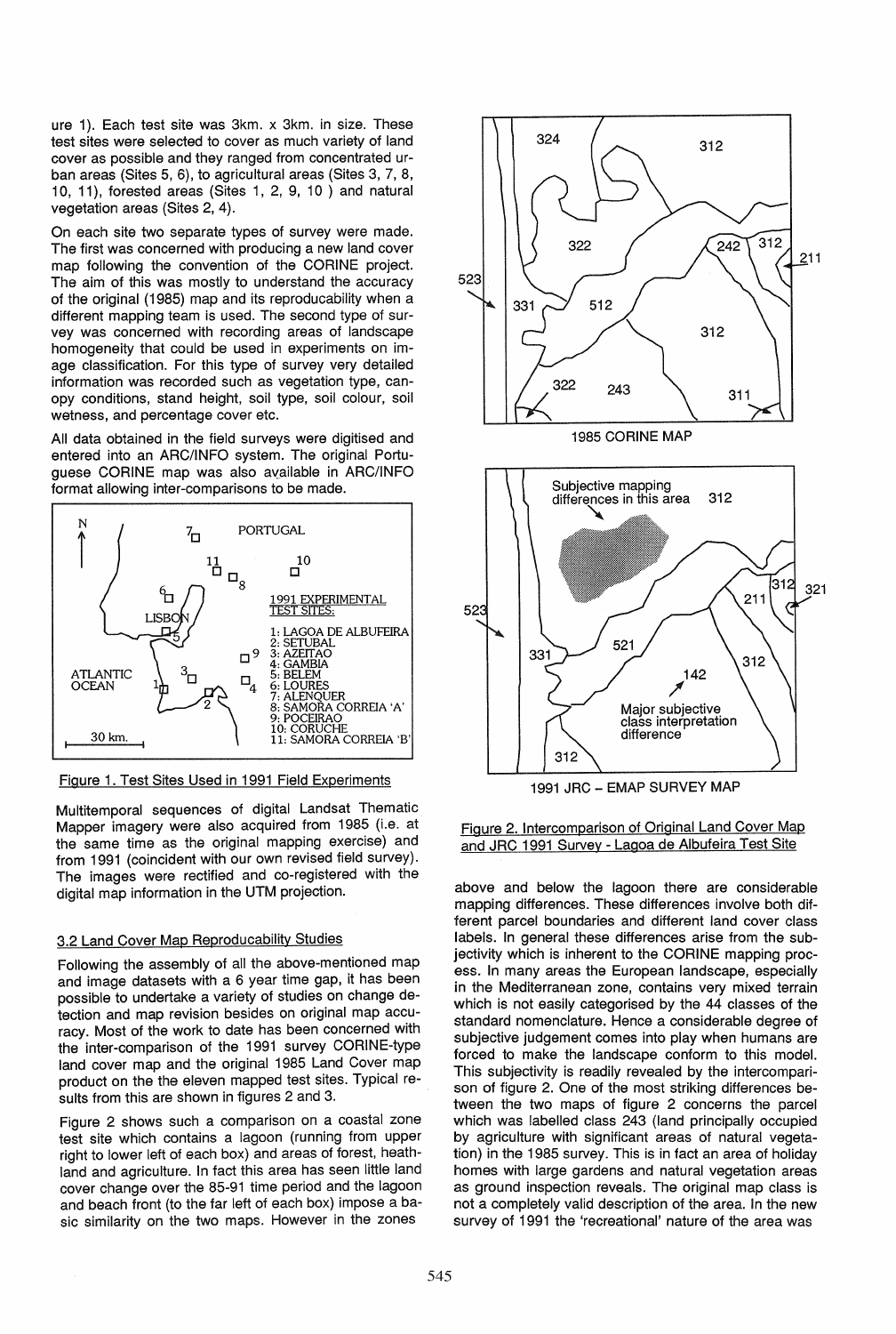ure 1). Each test site was 3km. x 3km. in size. These test sites were selected to cover as much variety of land cover as possible and they ranged from concentrated urban areas (Sites 5, 6), to agricultural areas (Sites 3, 7, 8, 10, 11), forested areas (Sites 1, 2, 9, 10 ) and natural vegetation areas (Sites 2, 4).

On each site two separate types of survey were made. The first was concerned with producing a new land cover map following the convention of the CORINE project. The aim of this was mostly to understand the accuracy of the original (1985) map and its reproducability when a different mapping team is used. The second type of survey was concerned with recording areas of landscape homogeneity that could be used in experiments on image classification. For this type of survey very detailed information was recorded such as vegetation type, canopy conditions, stand height, soil type, soil colour, soil wetness, and percentage cover etc.

All data obtained in the field surveys were digitised and entered into an ARC/INFO system. The original Portuguese CORINE map was also available in ARC/INFO format allowing inter-comparisons to be made.



Figure 1. Test Sites Used in 1991 Field Experiments

Multitemporal sequences of digital Landsat Thematic Mapper imagery were also acquired from 1985 (i.e. at the same time as the original mapping exercise) and from 1991 (coincident with our own revised field survey). The images were rectified and co-registered with the digital map information in the UTM projection.

# 3.2 Land Cover Map Reproducability Studies

Following the assembly of all the above-mentioned map and image datasets with a 6 year time gap, it has been possible to undertake a variety of studies on change detection and map revision besides on original map accuracy. Most of the work to date has been concerned with the inter-comparison of the 1991 survey CORINE-type land cover map and the original 1985 Land Cover map product on the the eleven mapped test sites. Typical results from this are shown in figures 2 and 3.

Figure 2 shows such a comparison on a coastal zone test site which contains a lagoon (running from upper right to lower left of each box) and areas of forest, heathland and agriculture. In fact this area has seen little land cover change over the 85-91 time period and the lagoon and beach front (to the far left of each box) impose a basic similarity on the two maps. However in the zones





above and below the lagoon there are considerable mapping differences. These differences involve both different parcel boundaries and different land cover class labels. In general these differences arise from the subjectivity which is inherent to the CORINE mapping process. In many areas the European landscape, especially in the Mediterranean zone, contains very mixed terrain which is not easily categorised by the 44 classes of the standard nomenclature. Hence a considerable degree of subjective judgement comes into play when humans are forced to make the landscape conform to this model. This subjectivity is readily revealed by the intercomparison of figure 2. One of the most striking differences between the two maps of figure 2 concerns the parcel which was labelled class 243 (land principally occupied by agriculture with significant areas of natural vegetation) in the 1985 survey. This is in fact an area of holiday homes with large gardens and natural vegetation areas as ground inspection reveals. The original map class is not a completely valid description of the area. In the new survey of 1991 the 'recreational' nature of the area was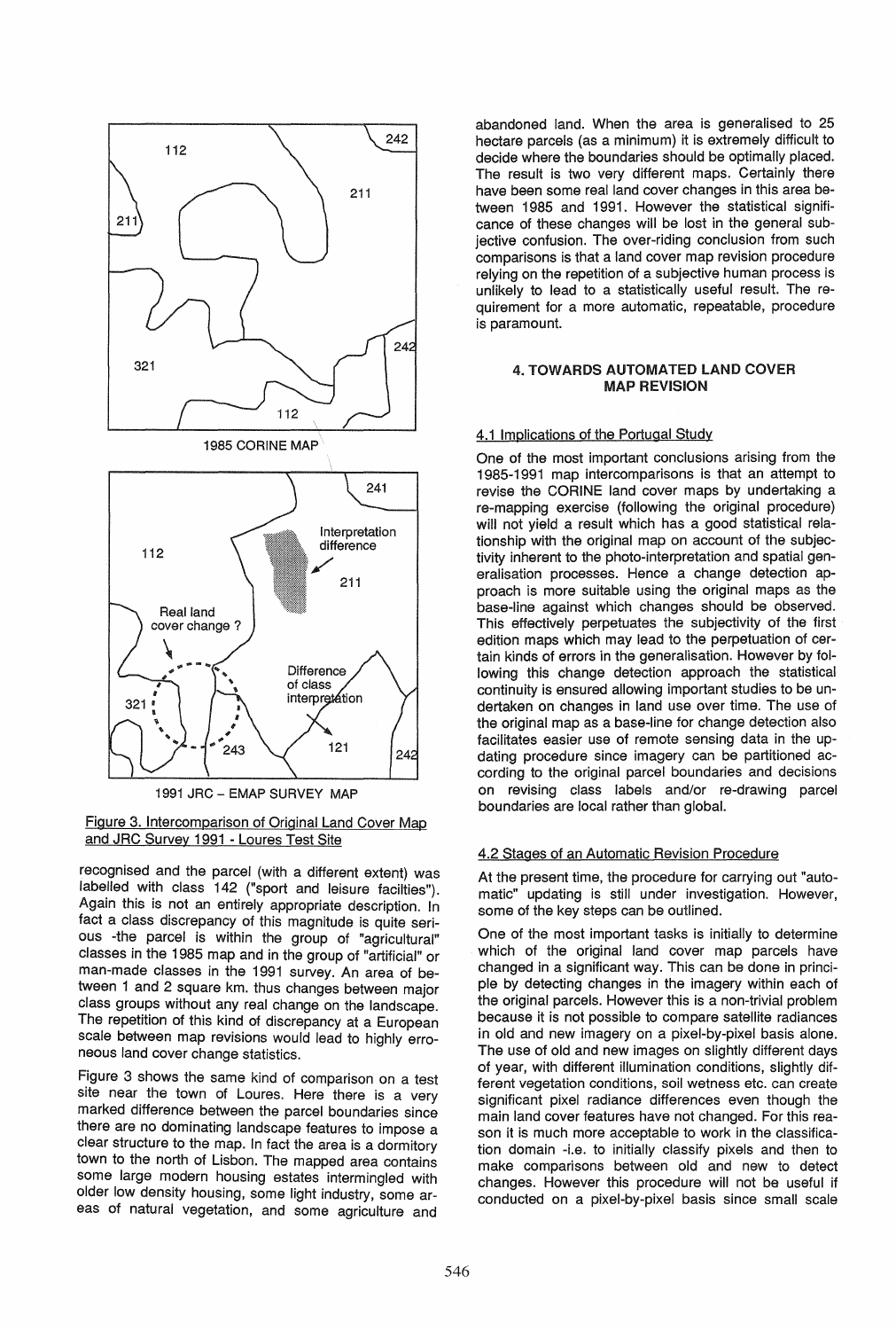



recognised and the parcel (with a different extent) was labelled with class 142 ("sport and leisure facilties"). Again this is not an entirely appropriate description. In fact a class discrepancy of this magnitude is quite serious -the parcel is within the group of "agricultural" classes in the 1985 map and in the group of "artificial" or man-made classes in the 1991 survey. An area of between 1 and 2 square km. thus changes between major class groups without any real change on the landscape. The repetition of this kind of discrepancy at a European scale between map revisions would lead to highly erroneous land cover change statistics.

Figure 3 shows the same kind of comparison on a test site near the town of Loures. Here there is a very marked difference between the parcel boundaries since there are no dominating landscape features to impose a clear structure to the map. In fact the area is a dormitory town to the north of Lisbon. The mapped area contains some large modern housing estates intermingled with older low density housing, some light industry, some areas of natural vegetation, and some agriculture and

abandoned land. When the area is generalised to 25 hectare parcels (as a minimum) it is extremely difficult to decide where the boundaries should be optimally placed. The result is two very different maps. Certainly there have been some real land cover changes in this area between 1985 and 1991. However the statistical significance of these changes will be lost in the general subjective confusion. The over-riding conclusion from such comparisons is that a land cover map revision procedure relying on the repetition of a subjective human process is unlikely to lead to a statistically useful result. The requirement for a more automatic, repeatable, procedure is paramount.

### 4. TOWARDS AUTOMATED LAND COVER MAP REVISION

## 4.1 Implications of the Portugal Study

One of the most important conclusions arising from the 1985-1991 map intercomparisons is that an attempt to revise the CORINE land cover maps by undertaking a re-mapping exercise (following the original procedure) will not vield a result which has a good statistical relationship with the original map on account of the subjectivity inherent to the photo-interpretation and spatial generalisation processes. Hence a change detection approach is more suitable using the original maps as the base-line against which changes should be observed. This effectively perpetuates the subjectivity of the first edition maps which may lead to the perpetuation of certain kinds of errors in the generalisation. However by following this change detection approach the statistical continuity is ensured allowing important studies to be undertaken on changes in land use over time. The use of the original map as a base-line for change detection also facilitates easier use of remote sensing data in the updating procedure since imagery can be partitioned according to the original parcel boundaries and decisions on revising class labels and/or re-drawing parcel boundaries are local rather than global.

## 4.2 Stages of an Automatic Revision Procedure

At the present time, the procedure for carrying out "automatic" updating is still under investigation. However, some of the key steps can be outlined.

One of the most important tasks is initially to determine which of the original land cover map parcels have changed in a significant way. This can be done in principle by detecting changes in the imagery within each of the original parcels. However this is a non-trivial problem because it is not possible to compare satellite radiances in old and new imagery on a pixel-by-pixel basis alone. The use of old and new images on slightly different days of year, with different illumination conditions, slightly different vegetation conditions, soil wetness etc. can create significant pixel radiance differences even though the main land cover features have not changed. For this reason it is much more acceptable to work in the classification domain -i.e. to initially classify pixels and then to make comparisons between old and new to detect changes. However this procedure will not be useful if conducted on a pixel-by-pixel basis since small scale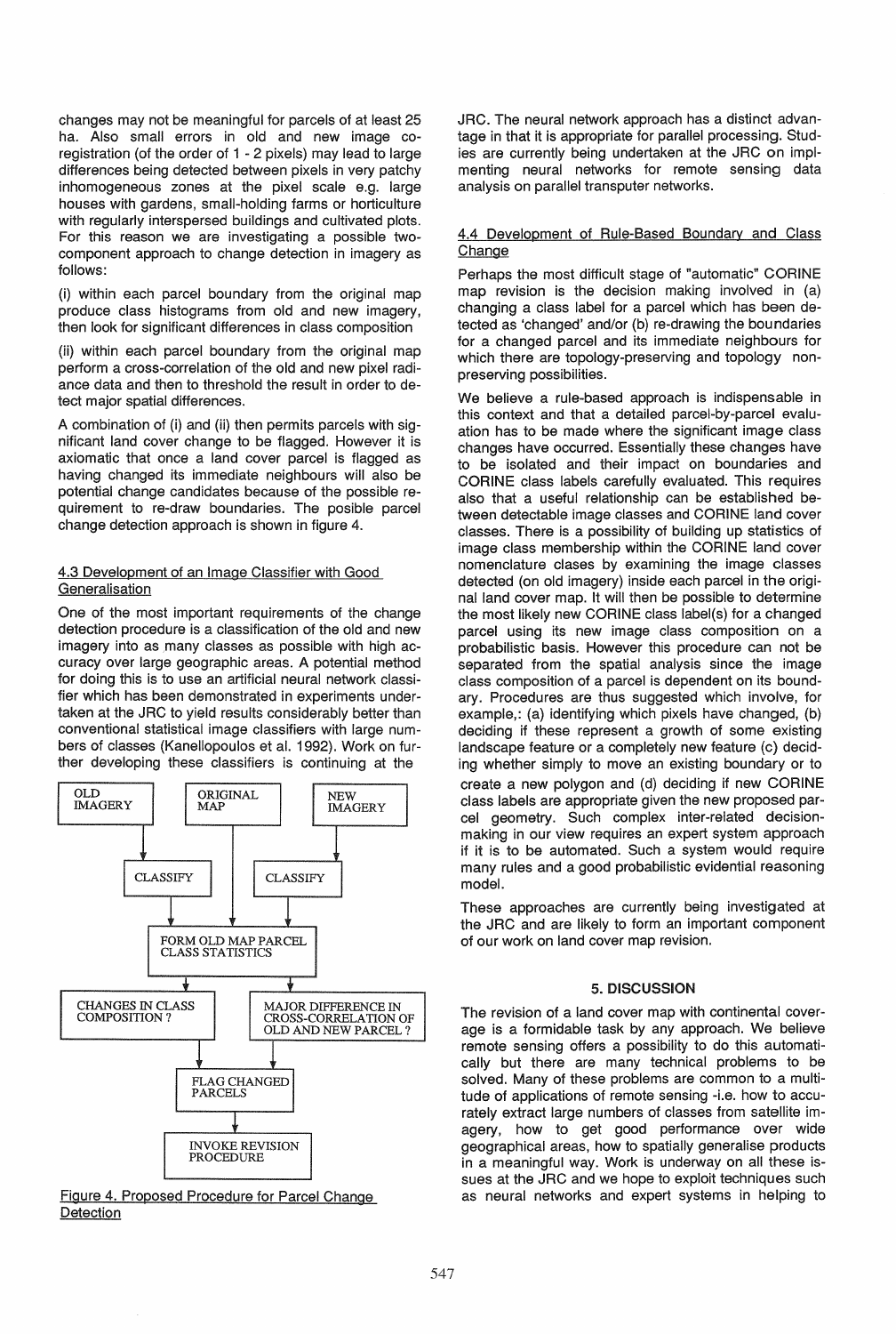changes may not be meaningful for parcels of at least 25 ha. Also small errors in old and new image coregistration (of the order of 1 - 2 pixels) may lead to large differences being detected between pixels in very patchy inhomogeneous zones at the pixel scale e.g. large houses with gardens, small-holding farms or horticulture with regularly interspersed buildings and cultivated plots. For this reason we are investigating a possible twocomponent approach to change detection in imagery as follows:

(i) within each parcel boundary from the original map produce class histograms from old and new imagery, then look for significant differences in class composition

(ii) within each parcel boundary from the original map perform a cross-correlation of the old and new pixel radiance data and then to threshold the result in order to detect major spatial differences.

A combination of (i) and (ii) then permits parcels with significant land cover change to be flagged. However it is axiomatic that once a land cover parcel is flagged as having changed its immediate neighbours will also be potential change candidates because of the possible requirement to re-draw boundaries. The posible parcel change detection approach is shown in figure 4.

#### 4.3 Development of an Image Classifier with Good **Generalisation**

One of the most important requirements of the change detection procedure is a classification of the old and new imagery into as many classes as possible with high accuracy over large geographic areas. A potential method for doing this is to use an artificial neural network classifier which has been demonstrated in experiments undertaken at the JRC to yield results considerably better than conventional statistical image classifiers with large numbers of classes (Kanellopoulos et al. 1992). Work on further developing these classifiers is continuing at the



Figure 4. Proposed Procedure for Parcel Change Detection

JRC. The neural network approach has a distinct advantage in that it is appropriate for parallel processing. Studies are currently being undertaken at the JRC on implmenting neural networks for remote sensing data analysis on parallel transputer networks.

### 4.4 Development of Rule-Based Boundary and Class Change

Perhaps the most difficult stage of "automatic" CORINE map revision is the decision making involved in (a) changing a class label for a parcel which has been detected as 'changed' and/or (b) re-drawing the boundaries for a changed parcel and its immediate neighbours for which there are topology-preserving and topology nonpreserving possibilities.

We believe a rule-based approach is indispensable in this context and that a detailed parcel-by-parcel evaluation has to be made where the significant image class changes have occurred. Essentially these changes have to be isolated and their impact on boundaries and CORINE class labels carefully evaluated. This requires also that a useful relationship can be established between detectable image classes and CORINE land cover classes. There is a possibility of building up statistics of image class membership within the CORINE land cover nomenclature clases by examining the image classes detected (on old imagery) inside each parcel in the original land cover map. It will then be possible to determine the most likely new CORINE class label(s) for a changed parcel using its new image class composition on a probabilistic basis. However this procedure can not be separated from the spatial analysis since the image class composition of a parcel is dependent on its boundary. Procedures are thus suggested which involve, for example,: (a) identifying which pixels have changed, (b) deciding if these represent a growth of some existing landscape feature or a completely new feature (c) deciding whether simply to move an existing boundary or to create a new polygon and (d) deciding if new CORINE class labels are appropriate given the new proposed parcel geometry. Such complex inter-related decisionmaking in our view requires an expert system approach if it is to be automated. Such a system would require many rules and a good probabilistic evidential reasoning model.

These approaches are currently being investigated at the JRC and are likely to form an important component of our work on land cover map revision.

### 5. DISCUSSION

The revision of a land cover map with continental coverage is a formidable task by any approach. We believe remote sensing offers a possibility to do this automatically but there are many technical problems to be solved. Many of these problems are common to a multitude of applications of remote sensing -i.e. how to accurately extract large numbers of classes from satellite imagery, how to get good performance over wide geographical areas, how to spatially generalise products in a meaningful way. Work is underway on all these issues at the JRC and we hope to exploit techniques such as neural networks and expert systems in helping to